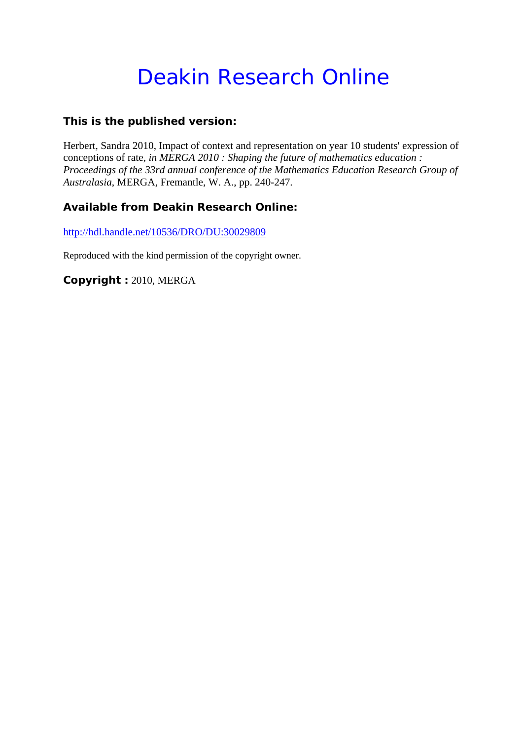# Deakin Research Online

### **This is the published version:**

Herbert, Sandra 2010, Impact of context and representation on year 10 students' expression of conceptions of rate*, in MERGA 2010 : Shaping the future of mathematics education : Proceedings of the 33rd annual conference of the Mathematics Education Research Group of Australasia*, MERGA, Fremantle, W. A., pp. 240-247.

## **Available from Deakin Research Online:**

http://hdl.handle.net/10536/DRO/DU:30029809

Reproduced with the kind permission of the copyright owner.

**Copyright :** 2010, MERGA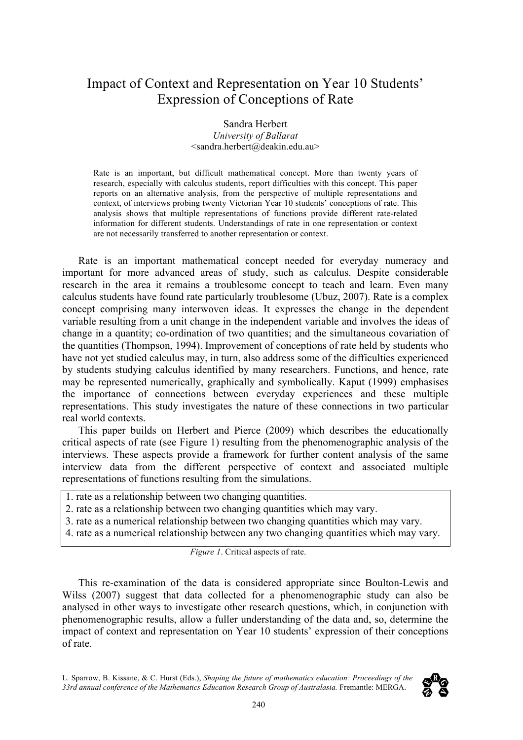# Impact of Context and Representation on Year 10 Students' Expression of Conceptions of Rate

#### Sandra Herbert *University of Ballarat* <sandra.herbert@deakin.edu.au>

Rate is an important, but difficult mathematical concept. More than twenty years of research, especially with calculus students, report difficulties with this concept. This paper reports on an alternative analysis, from the perspective of multiple representations and context, of interviews probing twenty Victorian Year 10 students' conceptions of rate. This analysis shows that multiple representations of functions provide different rate-related information for different students. Understandings of rate in one representation or context are not necessarily transferred to another representation or context.

Rate is an important mathematical concept needed for everyday numeracy and important for more advanced areas of study, such as calculus. Despite considerable research in the area it remains a troublesome concept to teach and learn. Even many calculus students have found rate particularly troublesome (Ubuz, 2007). Rate is a complex concept comprising many interwoven ideas. It expresses the change in the dependent variable resulting from a unit change in the independent variable and involves the ideas of change in a quantity; co-ordination of two quantities; and the simultaneous covariation of the quantities (Thompson, 1994). Improvement of conceptions of rate held by students who have not yet studied calculus may, in turn, also address some of the difficulties experienced by students studying calculus identified by many researchers. Functions, and hence, rate may be represented numerically, graphically and symbolically. Kaput (1999) emphasises the importance of connections between everyday experiences and these multiple representations. This study investigates the nature of these connections in two particular real world contexts.

This paper builds on Herbert and Pierce (2009) which describes the educationally critical aspects of rate (see Figure 1) resulting from the phenomenographic analysis of the interviews. These aspects provide a framework for further content analysis of the same interview data from the different perspective of context and associated multiple representations of functions resulting from the simulations.

- 1. rate as a relationship between two changing quantities.
- 2. rate as a relationship between two changing quantities which may vary.
- 3. rate as a numerical relationship between two changing quantities which may vary.
- 4. rate as a numerical relationship between any two changing quantities which may vary.

*Figure 1*. Critical aspects of rate.

This re-examination of the data is considered appropriate since Boulton-Lewis and Wilss (2007) suggest that data collected for a phenomenographic study can also be analysed in other ways to investigate other research questions, which, in conjunction with phenomenographic results, allow a fuller understanding of the data and, so, determine the impact of context and representation on Year 10 students' expression of their conceptions of rate.

L. Sparrow, B. Kissane, & C. Hurst (Eds.), *Shaping the future of mathematics education: Proceedings of the*  33rd annual conference of the Mathematics Education Research Group of Australasia. Fremantle: MERGA.

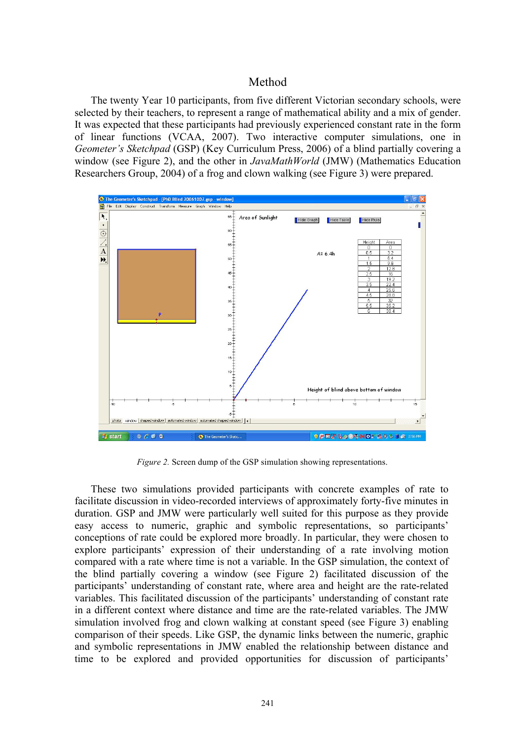#### Method

The twenty Year 10 participants, from five different Victorian secondary schools, were selected by their teachers, to represent a range of mathematical ability and a mix of gender. It was expected that these participants had previously experienced constant rate in the form of linear functions (VCAA, 2007). Two interactive computer simulations, one in *Geometer's Sketchpad* (GSP) (Key Curriculum Press, 2006) of a blind partially covering a window (see Figure 2), and the other in *JavaMathWorld* (JMW) (Mathematics Education Researchers Group, 2004) of a frog and clown walking (see Figure 3) were prepared.



*Figure 2.* Screen dump of the GSP simulation showing representations.

These two simulations provided participants with concrete examples of rate to facilitate discussion in video-recorded interviews of approximately forty-five minutes in duration. GSP and JMW were particularly well suited for this purpose as they provide easy access to numeric, graphic and symbolic representations, so participants' conceptions of rate could be explored more broadly. In particular, they were chosen to explore participants' expression of their understanding of a rate involving motion compared with a rate where time is not a variable. In the GSP simulation, the context of the blind partially covering a window (see Figure 2) facilitated discussion of the participants' understanding of constant rate, where area and height are the rate-related variables. This facilitated discussion of the participants' understanding of constant rate in a different context where distance and time are the rate-related variables. The JMW simulation involved frog and clown walking at constant speed (see Figure 3) enabling comparison of their speeds. Like GSP, the dynamic links between the numeric, graphic and symbolic representations in JMW enabled the relationship between distance and time to be explored and provided opportunities for discussion of participants'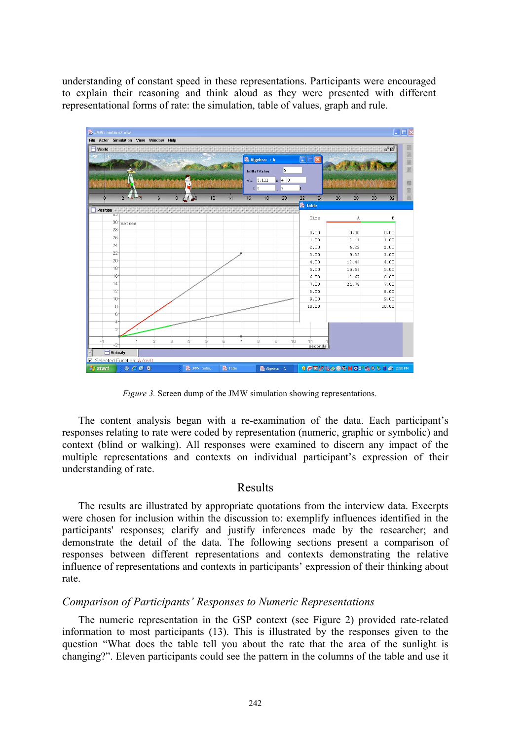understanding of constant speed in these representations. Participants were encouraged to explain their reasoning and think aloud as they were presented with different representational forms of rate: the simulation, table of values, graph and rule.

| <b>Morld</b>    |        |   |                |              |    |    |    | <b>恐 Algebra:: A</b><br>$\overline{0}$<br><b>Initial Value</b><br>$Y = 3.111$<br>$x + 0$<br>$\overline{7}$<br>$\mathbf{I}$ 0 |    |    | $\square\square$   | ďØ |       |          |
|-----------------|--------|---|----------------|--------------|----|----|----|------------------------------------------------------------------------------------------------------------------------------|----|----|--------------------|----|-------|----------|
|                 | 222    | 6 | $\overline{8}$ | $\Lambda$ 30 | 12 | 14 | 16 | 18                                                                                                                           | 20 | 22 | 24                 | 26 | 28    | 30<br>32 |
| <b>Position</b> |        |   |                |              |    |    |    |                                                                                                                              |    |    | <b>&amp; Table</b> |    |       |          |
| 32              |        |   |                |              |    |    |    |                                                                                                                              |    |    | Time               |    | A     | в        |
| 30              | metres |   |                |              |    |    |    |                                                                                                                              |    |    |                    |    |       |          |
| 28              |        |   |                |              |    |    |    |                                                                                                                              |    |    | 0.00               |    | 0.00  | 0.00     |
| 26              |        |   |                |              |    |    |    |                                                                                                                              |    |    | 1.00               |    | 3.11  | 1.00     |
| 24              |        |   |                |              |    |    |    |                                                                                                                              |    |    | 2.00               |    | 6.22  | 2.00     |
| 22              |        |   |                |              |    |    |    |                                                                                                                              |    |    | 3.00               |    | 9.33  | 3.00     |
| 20              |        |   |                |              |    |    |    |                                                                                                                              |    |    | 4.00               |    | 12.44 | 4.00     |
| 18              |        |   |                |              |    |    |    |                                                                                                                              |    |    | 5.00               |    | 15.56 | 5.00     |
| 16              |        |   |                |              |    |    |    |                                                                                                                              |    |    | 6.00               |    | 18.67 | 6.00     |
| 14              |        |   |                |              |    |    |    |                                                                                                                              |    |    | 7.00               |    | 21.78 | 7.00     |
| 12              |        |   |                |              |    |    |    |                                                                                                                              |    |    | 8.00               |    |       | 8.00     |
| 10              |        |   |                |              |    |    |    |                                                                                                                              |    |    | 9.00               |    |       | 9.00     |
| 8               |        |   |                |              |    |    |    |                                                                                                                              |    |    | 10.00              |    |       | 10.00    |
| 6               |        |   |                |              |    |    |    |                                                                                                                              |    |    |                    |    |       |          |
| 4               |        |   |                |              |    |    |    |                                                                                                                              |    |    |                    |    |       |          |
| $\overline{2}$  |        |   |                |              |    |    |    |                                                                                                                              |    |    |                    |    |       |          |
|                 |        |   |                |              |    |    |    |                                                                                                                              |    |    |                    |    |       |          |
| $-11$<br>$-2$   |        | 9 |                |              | 5  | 6  |    | 8                                                                                                                            | 9  | 10 | 11<br>seconds      |    |       |          |
| Velocity        |        |   |                |              |    |    |    |                                                                                                                              |    |    |                    |    |       |          |

*Figure 3.* Screen dump of the JMW simulation showing representations.

The content analysis began with a re-examination of the data. Each participant's responses relating to rate were coded by representation (numeric, graphic or symbolic) and context (blind or walking). All responses were examined to discern any impact of the multiple representations and contexts on individual participant's expression of their understanding of rate.

#### Results

The results are illustrated by appropriate quotations from the interview data. Excerpts were chosen for inclusion within the discussion to: exemplify influences identified in the participants' responses; clarify and justify inferences made by the researcher; and demonstrate the detail of the data. The following sections present a comparison of responses between different representations and contexts demonstrating the relative influence of representations and contexts in participants' expression of their thinking about rate.

#### *Comparison of Participants' Responses to Numeric Representations*

The numeric representation in the GSP context (see Figure 2) provided rate-related information to most participants (13). This is illustrated by the responses given to the question "What does the table tell you about the rate that the area of the sunlight is changing?". Eleven participants could see the pattern in the columns of the table and use it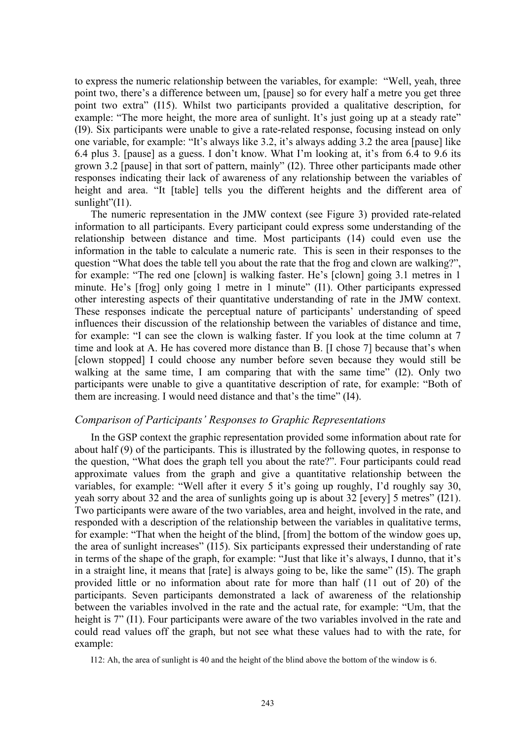to express the numeric relationship between the variables, for example: "Well, yeah, three point two, there's a difference between um, [pause] so for every half a metre you get three point two extra" (I15). Whilst two participants provided a qualitative description, for example: "The more height, the more area of sunlight. It's just going up at a steady rate" (I9). Six participants were unable to give a rate-related response, focusing instead on only one variable, for example: "It's always like 3.2, it's always adding 3.2 the area [pause] like 6.4 plus 3. [pause] as a guess. I don't know. What I'm looking at, it's from 6.4 to 9.6 its grown 3.2 [pause] in that sort of pattern, mainly" (I2). Three other participants made other responses indicating their lack of awareness of any relationship between the variables of height and area. "It [table] tells you the different heights and the different area of sunlight"(I1).

The numeric representation in the JMW context (see Figure 3) provided rate-related information to all participants. Every participant could express some understanding of the relationship between distance and time. Most participants (14) could even use the information in the table to calculate a numeric rate. This is seen in their responses to the question "What does the table tell you about the rate that the frog and clown are walking?", for example: "The red one [clown] is walking faster. He's [clown] going 3.1 metres in 1 minute. He's [frog] only going 1 metre in 1 minute" (I1). Other participants expressed other interesting aspects of their quantitative understanding of rate in the JMW context. These responses indicate the perceptual nature of participants' understanding of speed influences their discussion of the relationship between the variables of distance and time, for example: "I can see the clown is walking faster. If you look at the time column at 7 time and look at A. He has covered more distance than B. [I chose 7] because that's when [clown stopped] I could choose any number before seven because they would still be walking at the same time, I am comparing that with the same time" (I2). Only two participants were unable to give a quantitative description of rate, for example: "Both of them are increasing. I would need distance and that's the time" (I4).

#### *Comparison of Participants' Responses to Graphic Representations*

In the GSP context the graphic representation provided some information about rate for about half (9) of the participants. This is illustrated by the following quotes, in response to the question, "What does the graph tell you about the rate?". Four participants could read approximate values from the graph and give a quantitative relationship between the variables, for example: "Well after it every 5 it's going up roughly, I'd roughly say 30, yeah sorry about 32 and the area of sunlights going up is about 32 [every] 5 metres" (I21). Two participants were aware of the two variables, area and height, involved in the rate, and responded with a description of the relationship between the variables in qualitative terms, for example: "That when the height of the blind, [from] the bottom of the window goes up, the area of sunlight increases" (I15). Six participants expressed their understanding of rate in terms of the shape of the graph, for example: "Just that like it's always, I dunno, that it's in a straight line, it means that [rate] is always going to be, like the same" (I5). The graph provided little or no information about rate for more than half (11 out of 20) of the participants. Seven participants demonstrated a lack of awareness of the relationship between the variables involved in the rate and the actual rate, for example: "Um, that the height is 7" (I1). Four participants were aware of the two variables involved in the rate and could read values off the graph, but not see what these values had to with the rate, for example:

I12: Ah, the area of sunlight is 40 and the height of the blind above the bottom of the window is 6.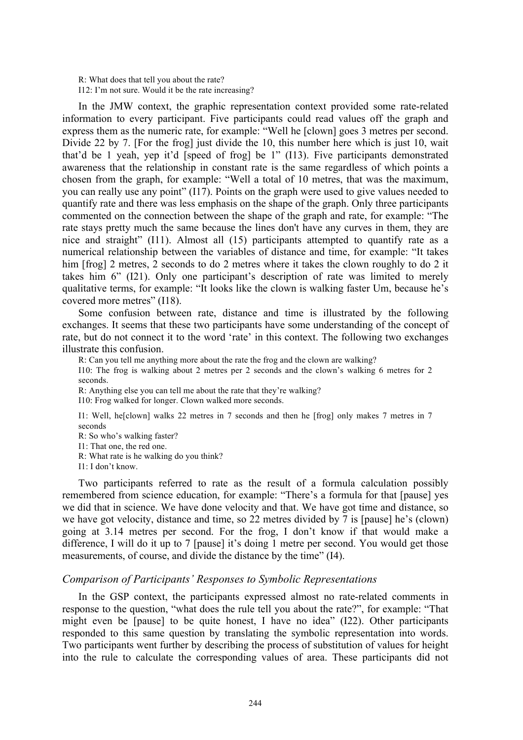R: What does that tell you about the rate? I12: I'm not sure. Would it be the rate increasing?

In the JMW context, the graphic representation context provided some rate-related information to every participant. Five participants could read values off the graph and express them as the numeric rate, for example: "Well he [clown] goes 3 metres per second. Divide 22 by 7. [For the frog] just divide the 10, this number here which is just 10, wait that'd be 1 yeah, yep it'd [speed of frog] be 1" (I13). Five participants demonstrated awareness that the relationship in constant rate is the same regardless of which points a chosen from the graph, for example: "Well a total of 10 metres, that was the maximum, you can really use any point" (I17). Points on the graph were used to give values needed to quantify rate and there was less emphasis on the shape of the graph. Only three participants commented on the connection between the shape of the graph and rate, for example: "The rate stays pretty much the same because the lines don't have any curves in them, they are nice and straight" (I11). Almost all (15) participants attempted to quantify rate as a numerical relationship between the variables of distance and time, for example: "It takes him [frog] 2 metres, 2 seconds to do 2 metres where it takes the clown roughly to do 2 it takes him 6" (I21). Only one participant's description of rate was limited to merely qualitative terms, for example: "It looks like the clown is walking faster Um, because he's covered more metres" (I18).

Some confusion between rate, distance and time is illustrated by the following exchanges. It seems that these two participants have some understanding of the concept of rate, but do not connect it to the word 'rate' in this context. The following two exchanges illustrate this confusion.

R: Can you tell me anything more about the rate the frog and the clown are walking?

I10: The frog is walking about 2 metres per 2 seconds and the clown's walking 6 metres for 2 seconds.

R: Anything else you can tell me about the rate that they're walking?

I10: Frog walked for longer. Clown walked more seconds.

I1: Well, he[clown] walks 22 metres in 7 seconds and then he [frog] only makes 7 metres in 7 seconds

R: So who's walking faster?

I1: That one, the red one.

R: What rate is he walking do you think?

I1: I don't know.

Two participants referred to rate as the result of a formula calculation possibly remembered from science education, for example: "There's a formula for that [pause] yes we did that in science. We have done velocity and that. We have got time and distance, so we have got velocity, distance and time, so 22 metres divided by 7 is [pause] he's (clown) going at 3.14 metres per second. For the frog, I don't know if that would make a difference, I will do it up to 7 [pause] it's doing 1 metre per second. You would get those measurements, of course, and divide the distance by the time" (I4).

#### *Comparison of Participants' Responses to Symbolic Representations*

In the GSP context, the participants expressed almost no rate-related comments in response to the question, "what does the rule tell you about the rate?", for example: "That might even be [pause] to be quite honest, I have no idea" (I22). Other participants responded to this same question by translating the symbolic representation into words. Two participants went further by describing the process of substitution of values for height into the rule to calculate the corresponding values of area. These participants did not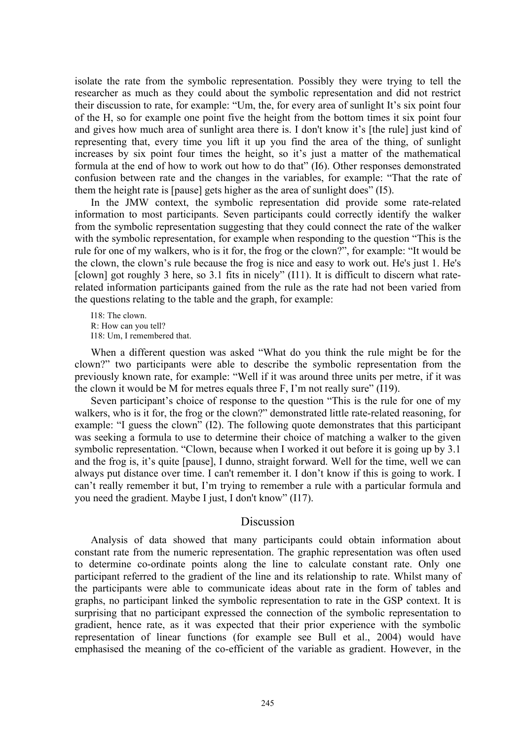isolate the rate from the symbolic representation. Possibly they were trying to tell the researcher as much as they could about the symbolic representation and did not restrict their discussion to rate, for example: "Um, the, for every area of sunlight It's six point four of the H, so for example one point five the height from the bottom times it six point four and gives how much area of sunlight area there is. I don't know it's [the rule] just kind of representing that, every time you lift it up you find the area of the thing, of sunlight increases by six point four times the height, so it's just a matter of the mathematical formula at the end of how to work out how to do that" (I6). Other responses demonstrated confusion between rate and the changes in the variables, for example: "That the rate of them the height rate is [pause] gets higher as the area of sunlight does" (I5).

In the JMW context, the symbolic representation did provide some rate-related information to most participants. Seven participants could correctly identify the walker from the symbolic representation suggesting that they could connect the rate of the walker with the symbolic representation, for example when responding to the question "This is the rule for one of my walkers, who is it for, the frog or the clown?", for example: "It would be the clown, the clown's rule because the frog is nice and easy to work out. He's just 1. He's [clown] got roughly 3 here, so 3.1 fits in nicely" (I11). It is difficult to discern what raterelated information participants gained from the rule as the rate had not been varied from the questions relating to the table and the graph, for example:

 $I18:$  The clown. R: How can you tell? I18: Um, I remembered that.

When a different question was asked "What do you think the rule might be for the clown?" two participants were able to describe the symbolic representation from the previously known rate, for example: "Well if it was around three units per metre, if it was the clown it would be M for metres equals three F, I'm not really sure" (I19).

Seven participant's choice of response to the question "This is the rule for one of my walkers, who is it for, the frog or the clown?" demonstrated little rate-related reasoning, for example: "I guess the clown" (I2). The following quote demonstrates that this participant was seeking a formula to use to determine their choice of matching a walker to the given symbolic representation. "Clown, because when I worked it out before it is going up by 3.1 and the frog is, it's quite [pause], I dunno, straight forward. Well for the time, well we can always put distance over time. I can't remember it. I don't know if this is going to work. I can't really remember it but, I'm trying to remember a rule with a particular formula and you need the gradient. Maybe I just, I don't know" (I17).

#### Discussion

Analysis of data showed that many participants could obtain information about constant rate from the numeric representation. The graphic representation was often used to determine co-ordinate points along the line to calculate constant rate. Only one participant referred to the gradient of the line and its relationship to rate. Whilst many of the participants were able to communicate ideas about rate in the form of tables and graphs, no participant linked the symbolic representation to rate in the GSP context. It is surprising that no participant expressed the connection of the symbolic representation to gradient, hence rate, as it was expected that their prior experience with the symbolic representation of linear functions (for example see Bull et al., 2004) would have emphasised the meaning of the co-efficient of the variable as gradient. However, in the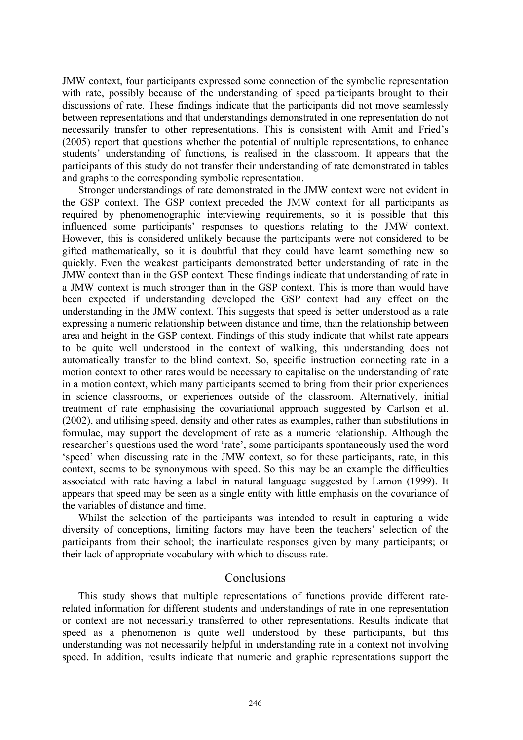JMW context, four participants expressed some connection of the symbolic representation with rate, possibly because of the understanding of speed participants brought to their discussions of rate. These findings indicate that the participants did not move seamlessly between representations and that understandings demonstrated in one representation do not necessarily transfer to other representations. This is consistent with Amit and Fried's (2005) report that questions whether the potential of multiple representations, to enhance students' understanding of functions, is realised in the classroom. It appears that the participants of this study do not transfer their understanding of rate demonstrated in tables and graphs to the corresponding symbolic representation.

Stronger understandings of rate demonstrated in the JMW context were not evident in the GSP context. The GSP context preceded the JMW context for all participants as required by phenomenographic interviewing requirements, so it is possible that this influenced some participants' responses to questions relating to the JMW context. However, this is considered unlikely because the participants were not considered to be gifted mathematically, so it is doubtful that they could have learnt something new so quickly. Even the weakest participants demonstrated better understanding of rate in the JMW context than in the GSP context. These findings indicate that understanding of rate in a JMW context is much stronger than in the GSP context. This is more than would have been expected if understanding developed the GSP context had any effect on the understanding in the JMW context. This suggests that speed is better understood as a rate expressing a numeric relationship between distance and time, than the relationship between area and height in the GSP context. Findings of this study indicate that whilst rate appears to be quite well understood in the context of walking, this understanding does not automatically transfer to the blind context. So, specific instruction connecting rate in a motion context to other rates would be necessary to capitalise on the understanding of rate in a motion context, which many participants seemed to bring from their prior experiences in science classrooms, or experiences outside of the classroom. Alternatively, initial treatment of rate emphasising the covariational approach suggested by Carlson et al. (2002), and utilising speed, density and other rates as examples, rather than substitutions in formulae, may support the development of rate as a numeric relationship. Although the researcher's questions used the word 'rate', some participants spontaneously used the word 'speed' when discussing rate in the JMW context, so for these participants, rate, in this context, seems to be synonymous with speed. So this may be an example the difficulties associated with rate having a label in natural language suggested by Lamon (1999). It appears that speed may be seen as a single entity with little emphasis on the covariance of the variables of distance and time.

Whilst the selection of the participants was intended to result in capturing a wide diversity of conceptions, limiting factors may have been the teachers' selection of the participants from their school; the inarticulate responses given by many participants; or their lack of appropriate vocabulary with which to discuss rate.

#### Conclusions

This study shows that multiple representations of functions provide different raterelated information for different students and understandings of rate in one representation or context are not necessarily transferred to other representations. Results indicate that speed as a phenomenon is quite well understood by these participants, but this understanding was not necessarily helpful in understanding rate in a context not involving speed. In addition, results indicate that numeric and graphic representations support the